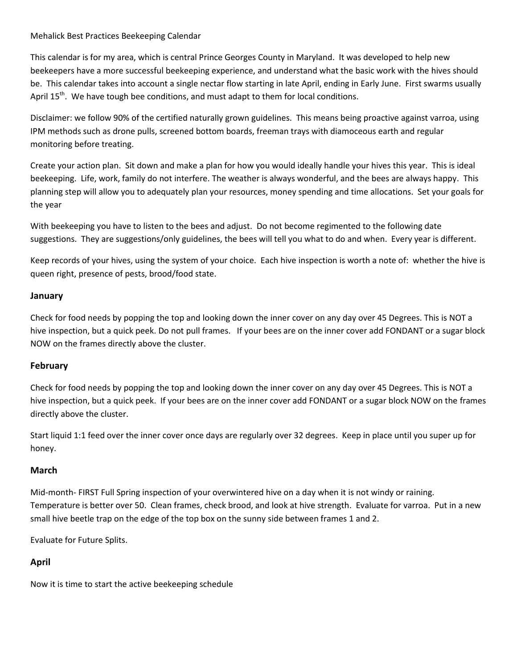#### Mehalick Best Practices Beekeeping Calendar

This calendar is for my area, which is central Prince Georges County in Maryland. It was developed to help new beekeepers have a more successful beekeeping experience, and understand what the basic work with the hives should be. This calendar takes into account a single nectar flow starting in late April, ending in Early June. First swarms usually April  $15<sup>th</sup>$ . We have tough bee conditions, and must adapt to them for local conditions.

Disclaimer: we follow 90% of the certified naturally grown guidelines. This means being proactive against varroa, using IPM methods such as drone pulls, screened bottom boards, freeman trays with diamoceous earth and regular monitoring before treating.

Create your action plan. Sit down and make a plan for how you would ideally handle your hives this year. This is ideal beekeeping. Life, work, family do not interfere. The weather is always wonderful, and the bees are always happy. This planning step will allow you to adequately plan your resources, money spending and time allocations. Set your goals for the year

With beekeeping you have to listen to the bees and adjust. Do not become regimented to the following date suggestions. They are suggestions/only guidelines, the bees will tell you what to do and when. Every year is different.

Keep records of your hives, using the system of your choice. Each hive inspection is worth a note of: whether the hive is queen right, presence of pests, brood/food state.

# **January**

Check for food needs by popping the top and looking down the inner cover on any day over 45 Degrees. This is NOT a hive inspection, but a quick peek. Do not pull frames. If your bees are on the inner cover add FONDANT or a sugar block NOW on the frames directly above the cluster.

# **February**

Check for food needs by popping the top and looking down the inner cover on any day over 45 Degrees. This is NOT a hive inspection, but a quick peek. If your bees are on the inner cover add FONDANT or a sugar block NOW on the frames directly above the cluster.

Start liquid 1:1 feed over the inner cover once days are regularly over 32 degrees. Keep in place until you super up for honey.

# **March**

Mid-month- FIRST Full Spring inspection of your overwintered hive on a day when it is not windy or raining. Temperature is better over 50. Clean frames, check brood, and look at hive strength. Evaluate for varroa. Put in a new small hive beetle trap on the edge of the top box on the sunny side between frames 1 and 2.

Evaluate for Future Splits.

# **April**

Now it is time to start the active beekeeping schedule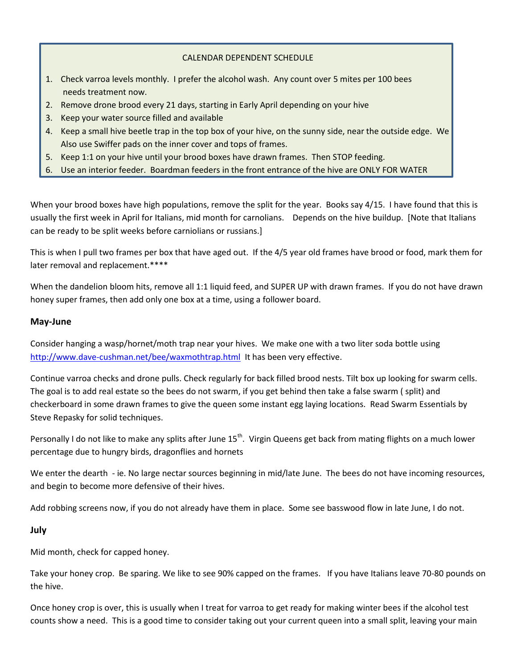### CALENDAR DEPENDENT SCHEDULE

- 1. Check varroa levels monthly. I prefer the alcohol wash. Any count over 5 mites per 100 bees needs treatment now.
- 2. Remove drone brood every 21 days, starting in Early April depending on your hive
- 3. Keep your water source filled and available
- 4. Keep a small hive beetle trap in the top box of your hive, on the sunny side, near the outside edge. We Also use Swiffer pads on the inner cover and tops of frames.
- 5. Keep 1:1 on your hive until your brood boxes have drawn frames. Then STOP feeding.
- 6. Use an interior feeder. Boardman feeders in the front entrance of the hive are ONLY FOR WATER

When your brood boxes have high populations, remove the split for the year. Books say 4/15. I have found that this is usually the first week in April for Italians, mid month for carnolians. Depends on the hive buildup. [Note that Italians can be ready to be split weeks before carniolians or russians.]

This is when I pull two frames per box that have aged out. If the 4/5 year old frames have brood or food, mark them for later removal and replacement.\*\*\*\*

When the dandelion bloom hits, remove all 1:1 liquid feed, and SUPER UP with drawn frames. If you do not have drawn honey super frames, then add only one box at a time, using a follower board.

#### **May-June**

Consider hanging a wasp/hornet/moth trap near your hives. We make one with a two liter soda bottle using <http://www.dave-cushman.net/bee/waxmothtrap.html>It has been very effective.

Continue varroa checks and drone pulls. Check regularly for back filled brood nests. Tilt box up looking for swarm cells. The goal is to add real estate so the bees do not swarm, if you get behind then take a false swarm ( split) and checkerboard in some drawn frames to give the queen some instant egg laying locations. Read Swarm Essentials by Steve Repasky for solid techniques.

Personally I do not like to make any splits after June 15<sup>th</sup>. Virgin Queens get back from mating flights on a much lower percentage due to hungry birds, dragonflies and hornets

We enter the dearth - ie. No large nectar sources beginning in mid/late June. The bees do not have incoming resources, and begin to become more defensive of their hives.

Add robbing screens now, if you do not already have them in place. Some see basswood flow in late June, I do not.

#### **July**

Mid month, check for capped honey.

Take your honey crop. Be sparing. We like to see 90% capped on the frames. If you have Italians leave 70-80 pounds on the hive.

Once honey crop is over, this is usually when I treat for varroa to get ready for making winter bees if the alcohol test counts show a need. This is a good time to consider taking out your current queen into a small split, leaving your main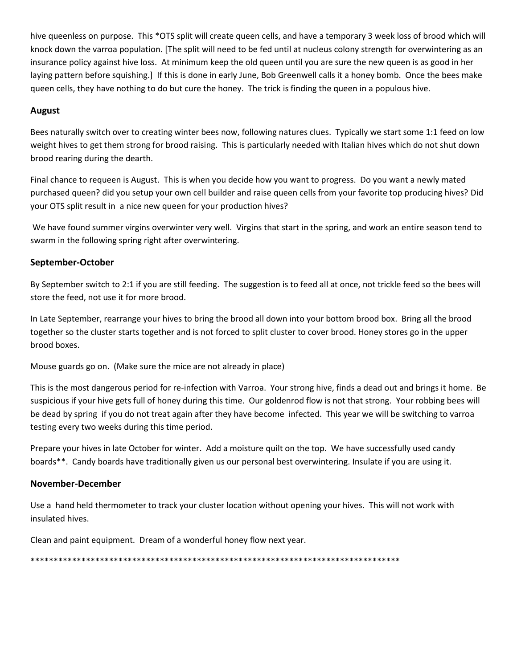hive queenless on purpose. This \*OTS split will create queen cells, and have a temporary 3 week loss of brood which will knock down the varroa population. [The split will need to be fed until at nucleus colony strength for overwintering as an insurance policy against hive loss. At minimum keep the old queen until you are sure the new queen is as good in her laying pattern before squishing.] If this is done in early June, Bob Greenwell calls it a honey bomb. Once the bees make queen cells, they have nothing to do but cure the honey. The trick is finding the queen in a populous hive.

# **August**

Bees naturally switch over to creating winter bees now, following natures clues. Typically we start some 1:1 feed on low weight hives to get them strong for brood raising. This is particularly needed with Italian hives which do not shut down brood rearing during the dearth.

Final chance to requeen is August. This is when you decide how you want to progress. Do you want a newly mated purchased queen? did you setup your own cell builder and raise queen cells from your favorite top producing hives? Did your OTS split result in a nice new queen for your production hives?

We have found summer virgins overwinter very well. Virgins that start in the spring, and work an entire season tend to swarm in the following spring right after overwintering.

# **September-October**

By September switch to 2:1 if you are still feeding. The suggestion is to feed all at once, not trickle feed so the bees will store the feed, not use it for more brood.

In Late September, rearrange your hives to bring the brood all down into your bottom brood box. Bring all the brood together so the cluster starts together and is not forced to split cluster to cover brood. Honey stores go in the upper brood boxes.

Mouse guards go on. (Make sure the mice are not already in place)

This is the most dangerous period for re-infection with Varroa. Your strong hive, finds a dead out and brings it home. Be suspicious if your hive gets full of honey during this time. Our goldenrod flow is not that strong. Your robbing bees will be dead by spring if you do not treat again after they have become infected. This year we will be switching to varroa testing every two weeks during this time period.

Prepare your hives in late October for winter. Add a moisture quilt on the top. We have successfully used candy boards\*\*. Candy boards have traditionally given us our personal best overwintering. Insulate if you are using it.

# **November-December**

Use a hand held thermometer to track your cluster location without opening your hives. This will not work with insulated hives.

Clean and paint equipment. Dream of a wonderful honey flow next year.

\*\*\*\*\*\*\*\*\*\*\*\*\*\*\*\*\*\*\*\*\*\*\*\*\*\*\*\*\*\*\*\*\*\*\*\*\*\*\*\*\*\*\*\*\*\*\*\*\*\*\*\*\*\*\*\*\*\*\*\*\*\*\*\*\*\*\*\*\*\*\*\*\*\*\*\*\*\*\*\*